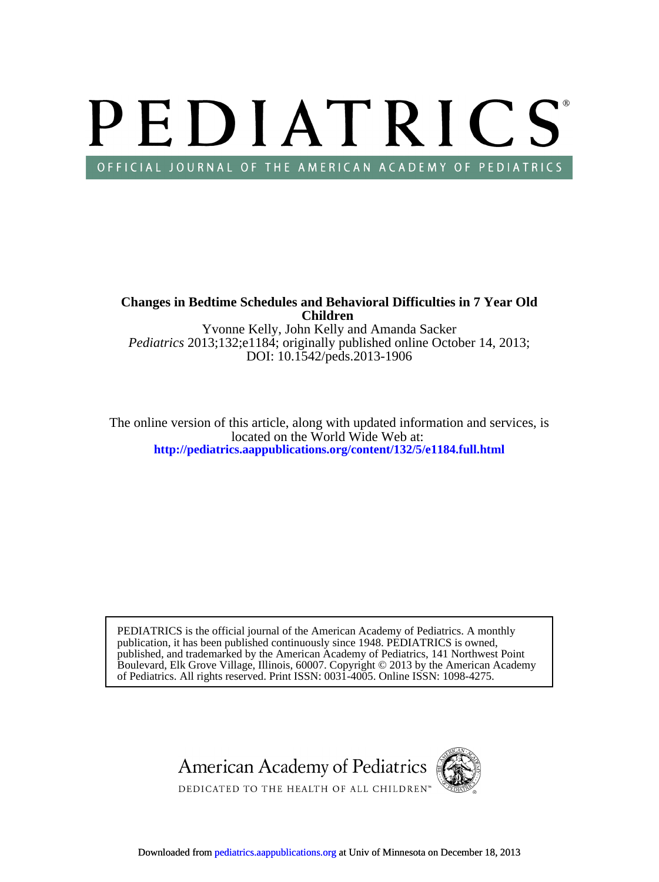# PEDIATRICS OFFICIAL JOURNAL OF THE AMERICAN ACADEMY OF PEDIATRICS

**Children Changes in Bedtime Schedules and Behavioral Difficulties in 7 Year Old**

DOI: 10.1542/peds.2013-1906 *Pediatrics* 2013;132;e1184; originally published online October 14, 2013; Yvonne Kelly, John Kelly and Amanda Sacker

**<http://pediatrics.aappublications.org/content/132/5/e1184.full.html>** located on the World Wide Web at: The online version of this article, along with updated information and services, is

of Pediatrics. All rights reserved. Print ISSN: 0031-4005. Online ISSN: 1098-4275. Boulevard, Elk Grove Village, Illinois, 60007. Copyright © 2013 by the American Academy published, and trademarked by the American Academy of Pediatrics, 141 Northwest Point publication, it has been published continuously since 1948. PEDIATRICS is owned, PEDIATRICS is the official journal of the American Academy of Pediatrics. A monthly

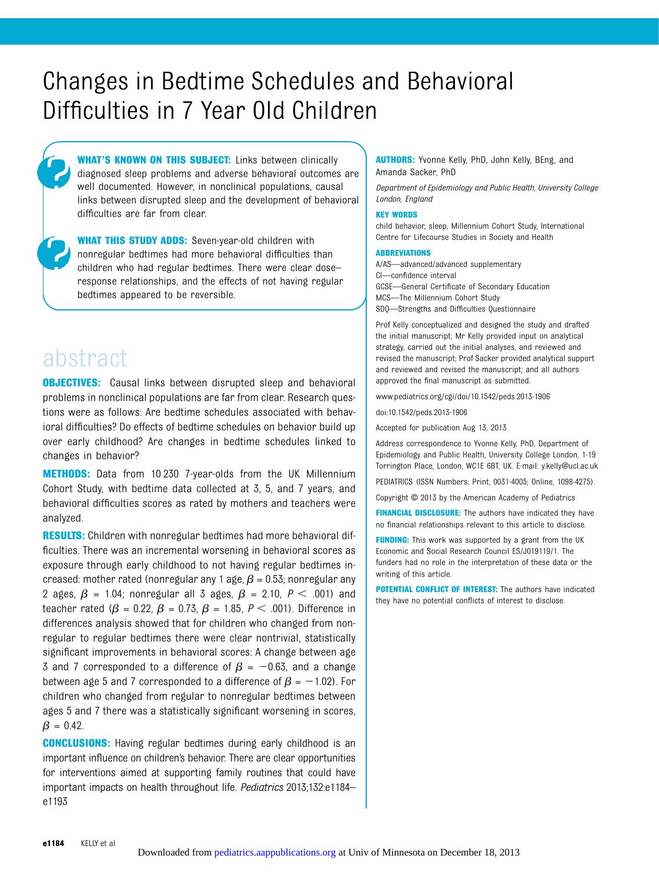# Changes in Bedtime Schedules and Behavioral Difficulties in 7 Year Old Children

WHAT'S KNOWN ON THIS SUBJECT: Links between clinically diagnosed sleep problems and adverse behavioral outcomes are well documented. However, in nonclinical populations, causal links between disrupted sleep and the development of behavioral difficulties are far from clear.

WHAT THIS STUDY ADDS: Seven-year-old children with nonregular bedtimes had more behavioral difficulties than children who had regular bedtimes. There were clear dose– response relationships, and the effects of not having regular bedtimes appeared to be reversible.

# abstract

**OBJECTIVES:** Causal links between disrupted sleep and behavioral problems in nonclinical populations are far from clear. Research questions were as follows: Are bedtime schedules associated with behavioral difficulties? Do effects of bedtime schedules on behavior build up over early childhood? Are changes in bedtime schedules linked to changes in behavior?

METHODS: Data from 10 230 7-year-olds from the UK Millennium Cohort Study, with bedtime data collected at 3, 5, and 7 years, and behavioral difficulties scores as rated by mothers and teachers were analyzed.

**RESULTS:** Children with nonregular bedtimes had more behavioral difficulties. There was an incremental worsening in behavioral scores as exposure through early childhood to not having regular bedtimes increased: mother rated (nonregular any 1 age,  $\beta$  = 0.53; nonregular any 2 ages,  $\beta$  = 1.04; nonregular all 3 ages,  $\beta$  = 2.10,  $P < .001$ ) and teacher rated ( $\beta$  = 0.22,  $\beta$  = 0.73,  $\beta$  = 1.85, P < .001). Difference in differences analysis showed that for children who changed from nonregular to regular bedtimes there were clear nontrivial, statistically significant improvements in behavioral scores: A change between age 3 and 7 corresponded to a difference of  $\beta = -0.63$ , and a change between age 5 and 7 corresponded to a difference of  $\beta = -1.02$ ). For children who changed from regular to nonregular bedtimes between ages 5 and 7 there was a statistically significant worsening in scores,  $\beta = 0.42$ .

**CONCLUSIONS:** Having regular bedtimes during early childhood is an important influence on children's behavior. There are clear opportunities for interventions aimed at supporting family routines that could have important impacts on health throughout life. Pediatrics 2013;132:e1184– e1193

AUTHORS: Yvonne Kelly, PhD, John Kelly, BEng, and Amanda Sacker, PhD

Department of Epidemiology and Public Health, University College London, England

#### KEY WORDS

child behavior, sleep, Millennium Cohort Study, International Centre for Lifecourse Studies in Society and Health

#### ABBREVIATIONS

A/AS—advanced/advanced supplementary CI—confidence interval GCSE—General Certificate of Secondary Education MCS—The Millennium Cohort Study SDQ—Strengths and Difficulties Questionnaire

Prof Kelly conceptualized and designed the study and drafted the initial manuscript; Mr Kelly provided input on analytical strategy, carried out the initial analyses, and reviewed and revised the manuscript; Prof Sacker provided analytical support and reviewed and revised the manuscript; and all authors approved the final manuscript as submitted.

www.pediatrics.org/cgi/doi/10.1542/peds.2013-1906

doi:10.1542/peds.2013-1906

Accepted for publication Aug 13, 2013

Address correspondence to Yvonne Kelly, PhD, Department of Epidemiology and Public Health, University College London, 1-19 Torrington Place, London, WC1E 6BT, UK. E-mail: [y.kelly@ucl.ac.uk](mailto:y.kelly@ucl.ac.uk)

PEDIATRICS (ISSN Numbers: Print, 0031-4005; Online, 1098-4275).

Copyright © 2013 by the American Academy of Pediatrics

FINANCIAL DISCLOSURE: The authors have indicated they have no financial relationships relevant to this article to disclose.

FUNDING: This work was supported by a grant from the UK Economic and Social Research Council ES/J019119/1. The funders had no role in the interpretation of these data or the writing of this article.

POTENTIAL CONFLICT OF INTEREST: The authors have indicated they have no potential conflicts of interest to disclose.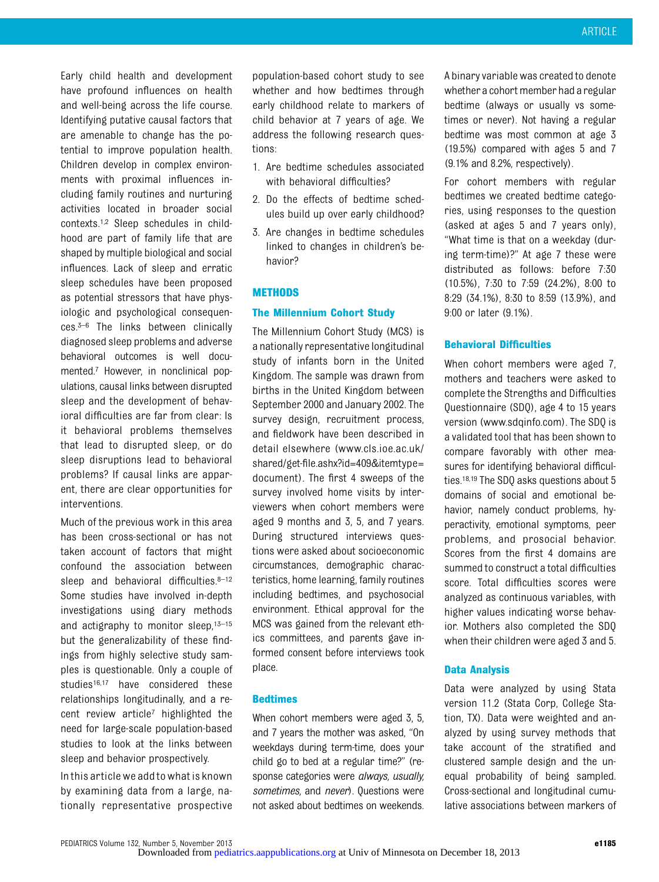Early child health and development have profound influences on health and well-being across the life course. Identifying putative causal factors that are amenable to change has the potential to improve population health. Children develop in complex environments with proximal influences including family routines and nurturing activities located in broader social contexts.1,2 Sleep schedules in childhood are part of family life that are shaped by multiple biological and social influences. Lack of sleep and erratic sleep schedules have been proposed as potential stressors that have physiologic and psychological consequences.3–<sup>6</sup> The links between clinically diagnosed sleep problems and adverse behavioral outcomes is well documented.7 However, in nonclinical populations, causal links between disrupted sleep and the development of behavioral difficulties are far from clear: Is it behavioral problems themselves that lead to disrupted sleep, or do sleep disruptions lead to behavioral problems? If causal links are apparent, there are clear opportunities for interventions.

Much of the previous work in this area has been cross-sectional or has not taken account of factors that might confound the association between sleep and behavioral difficulties. 8-12 Some studies have involved in-depth investigations using diary methods and actigraphy to monitor sleep, 13-15 but the generalizability of these findings from highly selective study samples is questionable. Only a couple of studies<sup>16,17</sup> have considered these relationships longitudinally, and a recent review article7 highlighted the need for large-scale population-based studies to look at the links between sleep and behavior prospectively.

Inthis article we addto what is known by examining data from a large, nationally representative prospective

population-based cohort study to see whether and how bedtimes through early childhood relate to markers of child behavior at 7 years of age. We address the following research questions:

- 1. Are bedtime schedules associated with behavioral difficulties?
- 2. Do the effects of bedtime schedules build up over early childhood?
- 3. Are changes in bedtime schedules linked to changes in children's behavior?

#### METHODS

#### The Millennium Cohort Study

The Millennium Cohort Study (MCS) is a nationally representative longitudinal study of infants born in the United Kingdom. The sample was drawn from births in the United Kingdom between September 2000 and January 2002. The survey design, recruitment process, and fieldwork have been described in detail elsewhere ([www.cls.ioe.ac.uk/](http://www.cls.ioe.ac.uk/shared/get-file.ashx?id=409&tnqh_x0026;itemtype=document) shared/get-fi[le.ashx?id=409&itemtype=](http://www.cls.ioe.ac.uk/shared/get-file.ashx?id=409&tnqh_x0026;itemtype=document) [document\)](http://www.cls.ioe.ac.uk/shared/get-file.ashx?id=409&tnqh_x0026;itemtype=document). The first 4 sweeps of the survey involved home visits by interviewers when cohort members were aged 9 months and 3, 5, and 7 years. During structured interviews questions were asked about socioeconomic circumstances, demographic characteristics, home learning, family routines including bedtimes, and psychosocial environment. Ethical approval for the MCS was gained from the relevant ethics committees, and parents gave informed consent before interviews took place.

#### Bedtimes

When cohort members were aged 3, 5, and 7 years the mother was asked, "On weekdays during term-time, does your child go to bed at a regular time?" (response categories were always, usually, sometimes, and never). Questions were not aske[d about bedtimes on weekends](http://pediatrics.aappublications.org/). A binary variable was created to denote whethera cohort member had a regular bedtime (always or usually vs sometimes or never). Not having a regular bedtime was most common at age 3 (19.5%) compared with ages 5 and 7 (9.1% and 8.2%, respectively).

For cohort members with regular bedtimes we created bedtime categories, using responses to the question (asked at ages 5 and 7 years only), "What time is that on a weekday (during term-time)?" At age 7 these were distributed as follows: before 7:30 (10.5%), 7:30 to 7:59 (24.2%), 8:00 to 8:29 (34.1%), 8:30 to 8:59 (13.9%), and 9:00 or later (9.1%).

#### Behavioral Difficulties

When cohort members were aged 7, mothers and teachers were asked to complete the Strengths and Difficulties Questionnaire (SDQ), age 4 to 15 years version [\(www.sdqinfo.com\)](http://www.sdqinfo.com). The SDQ is a validated tool that has been shown to compare favorably with other measures for identifying behavioral difficulties.18,19 The SDQ asks questions about 5 domains of social and emotional behavior, namely conduct problems, hyperactivity, emotional symptoms, peer problems, and prosocial behavior. Scores from the first 4 domains are summed to construct a total difficulties score. Total difficulties scores were analyzed as continuous variables, with higher values indicating worse behavior. Mothers also completed the SDQ when their children were aged 3 and 5.

#### Data Analysis

Data were analyzed by using Stata version 11.2 (Stata Corp, College Station, TX). Data were weighted and analyzed by using survey methods that take account of the stratified and clustered sample design and the unequal probability of being sampled. Cross-sectional and longitudinal cumulative associations between markers of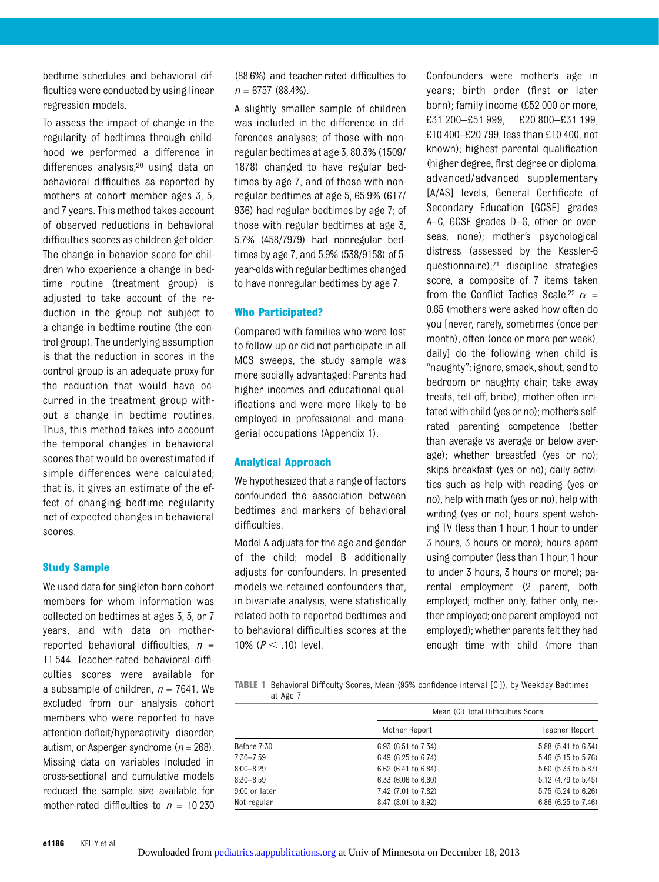bedtime schedules and behavioral difficulties were conducted by using linear regression models.

To assess the impact of change in the regularity of bedtimes through childhood we performed a difference in differences analysis,20 using data on behavioral difficulties as reported by mothers at cohort member ages 3, 5, and 7 years. This method takes account of observed reductions in behavioral difficulties scores as children get older. The change in behavior score for children who experience a change in bedtime routine (treatment group) is adjusted to take account of the reduction in the group not subject to a change in bedtime routine (the control group). The underlying assumption is that the reduction in scores in the control group is an adequate proxy for the reduction that would have occurred in the treatment group without a change in bedtime routines. Thus, this method takes into account the temporal changes in behavioral scores that would be overestimated if simple differences were calculated; that is, it gives an estimate of the effect of changing bedtime regularity net of expected changes in behavioral scores.

#### Study Sample

We used data for singleton-born cohort members for whom information was collected on bedtimes at ages 3, 5, or 7 years, and with data on motherreported behavioral difficulties,  $n =$ 11 544. Teacher-rated behavioral difficulties scores were available for a subsample of children,  $n = 7641$ . We excluded from our analysis cohort members who were reported to have attention-deficit/hyperactivity disorder, autism, or Asperger syndrome ( $n = 268$ ). Missing data on variables included in cross-sectional and cumulative models reduced the sample size available for mother-rated difficulties to  $n = 10230$ 

(88.6%) and teacher-rated difficulties to  $n = 6757 (88.4\%).$ 

A slightly smaller sample of children was included in the difference in differences analyses; of those with nonregular bedtimes at age 3, 80.3% (1509/ 1878) changed to have regular bedtimes by age 7, and of those with nonregular bedtimes at age 5, 65.9% (617/ 936) had regular bedtimes by age 7; of those with regular bedtimes at age 3, 5.7% (458/7979) had nonregular bedtimes by age 7, and 5.9% (538/9158) of 5 year-oldswith regular bedtimes changed to have nonregular bedtimes by age 7.

#### Who Participated?

Compared with families who were lost to follow-up or did not participate in all MCS sweeps, the study sample was more socially advantaged: Parents had higher incomes and educational qualifications and were more likely to be employed in professional and managerial occupations (Appendix 1).

#### Analytical Approach

We hypothesized that a range of factors confounded the association between bedtimes and markers of behavioral difficulties.

Model A adjusts for the age and gender of the child; model B additionally adjusts for confounders. In presented models we retained confounders that, in bivariate analysis, were statistically related both to reported bedtimes and to behavioral difficulties scores at the 10% ( $P < .10$ ) level.

Confounders were mother's age in years; birth order (first or later born); family income (£52 000 or more, £31 200–£51 999, £20 800–£31 199, £10 400–£20 799, less than £10 400, not known); highest parental qualification (higher degree, first degree or diploma, advanced/advanced supplementary [A/AS] levels, General Certificate of Secondary Education [GCSE] grades A–C, GCSE grades D–G, other or overseas, none); mother's psychological distress (assessed by the Kessler-6 questionnaire);21 discipline strategies score, a composite of 7 items taken from the Conflict Tactics Scale,<sup>22</sup>  $\alpha$  = 0.65 (mothers were asked how often do you [never, rarely, sometimes (once per month), often (once or more per week), daily] do the following when child is "naughty": ignore, smack, shout, send to bedroom or naughty chair, take away treats, tell off, bribe); mother often irritated with child (yes or no); mother's selfrated parenting competence (better than average vs average or below average); whether breastfed (yes or no); skips breakfast (yes or no); daily activities such as help with reading (yes or no), help with math (yes or no), help with writing (yes or no); hours spent watching TV (less than 1 hour, 1 hour to under 3 hours, 3 hours or more); hours spent using computer (less than 1 hour, 1 hour to under 3 hours, 3 hours or more); parental employment (2 parent, both employed; mother only, father only, neither employed; one parent employed, not employed); whether parents felt they had enough time with child (more than

TABLE 1 Behavioral Difficulty Scores, Mean (95% confidence interval [CI]), by Weekday Bedtimes at Age 7

|               | Mean (CI) Total Difficulties Score |                     |  |  |  |
|---------------|------------------------------------|---------------------|--|--|--|
|               | Mother Report                      | Teacher Report      |  |  |  |
| Before 7:30   | 6.93 (6.51 to 7.34)                | 5.88 (5.41 to 6.34) |  |  |  |
| $7:30 - 7:59$ | 6.49 (6.25 to 6.74)                | 5.46 (5.15 to 5.76) |  |  |  |
| $8:00 - 8:29$ | 6.62 (6.41 to 6.84)                | 5.60 (5.33 to 5.87) |  |  |  |
| $8:30 - 8:59$ | 6.33 (6.06 to 6.60)                | 5.12 (4.79 to 5.45) |  |  |  |
| 9:00 or later | 7.42 (7.01 to 7.82)                | 5.75 (5.24 to 6.26) |  |  |  |
| Not regular   | 8.47 (8.01 to 8.92)                | 6.86 (6.25 to 7.46) |  |  |  |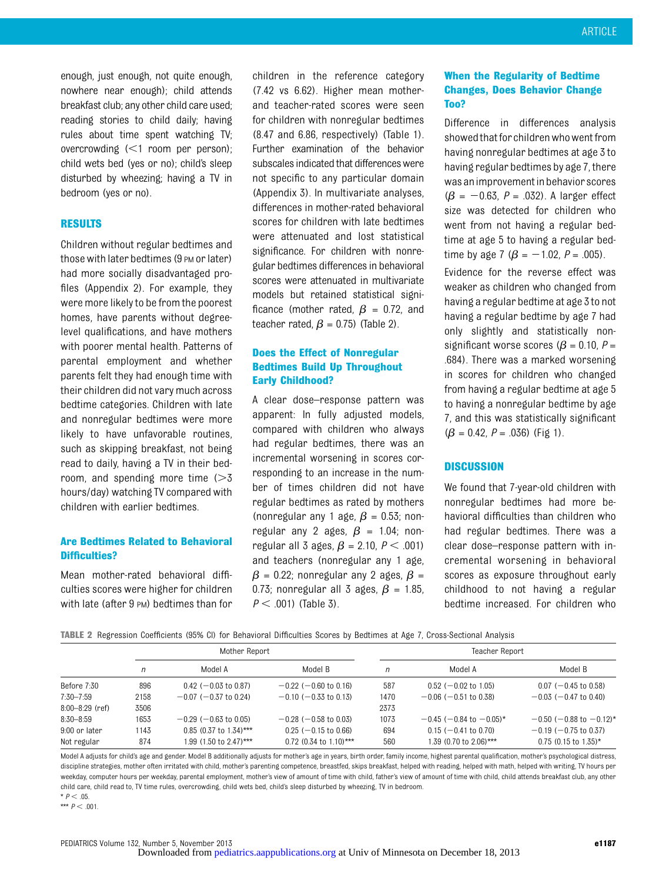enough, just enough, not quite enough, nowhere near enough); child attends breakfast club; any other child care used; reading stories to child daily; having rules about time spent watching TV; overcrowding  $\leq 1$  room per person); child wets bed (yes or no); child's sleep disturbed by wheezing; having a TV in bedroom (yes or no).

#### RESULTS

Children without regular bedtimes and those with later bedtimes (9 PM or later) had more socially disadvantaged profiles (Appendix 2). For example, they were more likely to be from the poorest homes, have parents without degreelevel qualifications, and have mothers with poorer mental health. Patterns of parental employment and whether parents felt they had enough time with their children did not vary much across bedtime categories. Children with late and nonregular bedtimes were more likely to have unfavorable routines, such as skipping breakfast, not being read to daily, having a TV in their bedroom, and spending more time  $(>= 3$ hours/day) watching TV compared with children with earlier bedtimes.

# Are Bedtimes Related to Behavioral Difficulties?

Mean mother-rated behavioral difficulties scores were higher for children with late (after 9 PM) bedtimes than for

children in the reference category (7.42 vs 6.62). Higher mean motherand teacher-rated scores were seen for children with nonregular bedtimes (8.47 and 6.86, respectively) (Table 1). Further examination of the behavior subscales indicated that differences were not specific to any particular domain (Appendix 3). In multivariate analyses, differences in mother-rated behavioral scores for children with late bedtimes were attenuated and lost statistical significance. For children with nonregular bedtimes differences in behavioral scores were attenuated in multivariate models but retained statistical significance (mother rated,  $\beta$  = 0.72, and teacher rated,  $\beta$  = 0.75) (Table 2).

# Does the Effect of Nonregular Bedtimes Build Up Throughout Early Childhood?

A clear dose–response pattern was apparent: In fully adjusted models, compared with children who always had regular bedtimes, there was an incremental worsening in scores corresponding to an increase in the number of times children did not have regular bedtimes as rated by mothers (nonregular any 1 age,  $\beta$  = 0.53; nonregular any 2 ages,  $\beta$  = 1.04; nonregular all 3 ages,  $\beta$  = 2.10,  $P < .001$ ) and teachers (nonregular any 1 age,  $\beta$  = 0.22; nonregular any 2 ages,  $\beta$  = 0.73; nonregular all 3 ages,  $\beta$  = 1.85,  $P < .001$ ) (Table 3).

# When the Regularity of Bedtime Changes, Does Behavior Change Too?

Difference in differences analysis showed that for children who went from having nonregular bedtimes at age 3 to having regular bedtimes by age 7, there was animprovement in behavior scores  $(\beta = -0.63, P = .032)$ . A larger effect size was detected for children who went from not having a regular bedtime at age 5 to having a regular bedtime by age 7 ( $\beta = -1.02$ ,  $P = .005$ ). Evidence for the reverse effect was weaker as children who changed from having a regular bedtime at age 3 to not having a regular bedtime by age 7 had only slightly and statistically nonsignificant worse scores ( $\beta$  = 0.10, P = .684). There was a marked worsening in scores for children who changed from having a regular bedtime at age 5 to having a nonregular bedtime by age 7, and this was statistically significant  $(\beta = 0.42, P = .036)$  (Fig 1).

#### **DISCUSSION**

We found that 7-year-old children with nonregular bedtimes had more behavioral difficulties than children who had regular bedtimes. There was a clear dose–response pattern with incremental worsening in behavioral scores as exposure throughout early childhood to not having a regular bedtime increased. For children who

|                     |      | Mother Report              |                            |      | Teacher Report             |                            |  |  |
|---------------------|------|----------------------------|----------------------------|------|----------------------------|----------------------------|--|--|
|                     | n    | Model A                    | Model B                    | n    | Model A                    | Model B                    |  |  |
| Before 7:30         | 896  | $0.42$ ( $-0.03$ to 0.87)  | $-0.22$ ( $-0.60$ to 0.16) | 587  | $0.52$ (-0.02 to 1.05)     | $0.07$ (-0.45 to 0.58)     |  |  |
| $7:30 - 7:59$       | 2158 | $-0.07$ ( $-0.37$ to 0.24) | $-0.10$ ( $-0.33$ to 0.13) | 1470 | $-0.06$ ( $-0.51$ to 0.38) | $-0.03$ ( $-0.47$ to 0.40) |  |  |
| $8:00 - 8:29$ (ref) | 3506 |                            |                            | 2373 |                            |                            |  |  |
| $8:30 - 8:59$       | 1653 | $-0.29$ ( $-0.63$ to 0.05) | $-0.28$ ( $-0.58$ to 0.03) | 1073 | $-0.45$ (-0.84 to -0.05)*  | $-0.50$ (-0.88 to -0.12)*  |  |  |
| 9:00 or later       | 1143 | $0.85$ (0.37 to 1.34)***   | $0.25$ (-0.15 to 0.66)     | 694  | $0.15$ (-0.41 to 0.70)     | $-0.19$ ( $-0.75$ to 0.37) |  |  |
| Not regular         | 874  | 1.99 (1.50 to 2.47)***     | $0.72$ (0.34 to 1.10)***   | 560  | 1.39 (0.70 to 2.06)***     | $0.75$ (0.15 to 1.35)*     |  |  |

Model A adjusts for child's age and gender. Model B additionally adjusts for mother's age in years, birth order, family income, highest parental qualification, mother's psychological distress, discipline strategies, mother often irritated with child, mother's parenting competence, breastfed, skips breakfast, helped with reading, helped with math, helped with writing, TV hours per weekday, computer hours per weekday, parental employment, mother's view of amount of time with child, father's view of amount of time with child, child attends breakfast club, any other child care, child read to, TV time rules, overcrowding, child wets bed, child's sleep disturbed by wheezing, TV in bedroom.

 $*$   $P < .05$ . \*\*\*  $P < 0.01$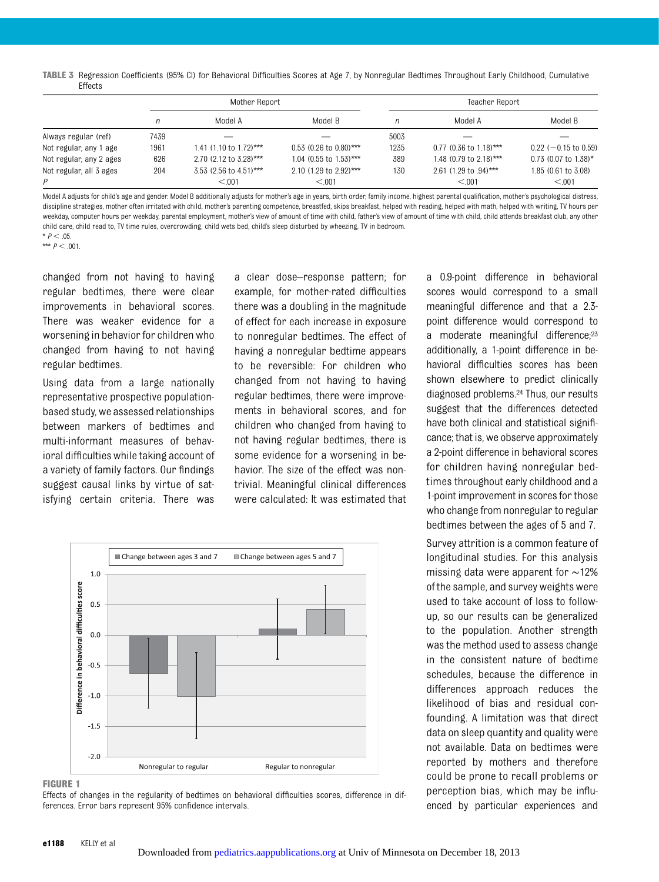TABLE 3 Regression Coefficients (95% CI) for Behavioral Difficulties Scores at Age 7, by Nonregular Bedtimes Throughout Early Childhood, Cumulative Effects

|                         |      | Mother Report          |                          |      | Teacher Report                    |                        |
|-------------------------|------|------------------------|--------------------------|------|-----------------------------------|------------------------|
|                         | n    | Model A                | Model B                  | n    | Model A                           | Model B                |
| Always regular (ref)    | 7439 |                        |                          | 5003 |                                   |                        |
| Not regular, any 1 age  | 1961 | 1.41 (1.10 to 1.72)*** | $0.53$ (0.26 to 0.80)*** | 1235 | $0.77$ (0.36 to 1.18)***          | $0.22$ (-0.15 to 0.59) |
| Not regular, any 2 ages | 626  | 2.70 (2.12 to 3.28)*** | 1.04 (0.55 to 1.53)***   | 389  | 1.48 (0.79 to 2.18)***            | $0.73$ (0.07 to 1.38)* |
| Not regular, all 3 ages | 204  | 3.53 (2.56 to 4.51)*** | 2.10 (1.29 to 2.92)***   | 130  | 2.61 $(1.29 \text{ to } .94)$ *** | 1.85 (0.61 to 3.08)    |
| P                       |      | < 0.01                 | < 0.01                   |      | < 0.01                            | < 0.01                 |

Model A adjusts for child's age and gender. Model B additionally adjusts for mother's age in years, birth order, family income, highest parental qualification, mother's psychological distress, discipline strategies, mother often irritated with child, mother's parenting competence, breastfed, skips breakfast, helped with reading, helped with math, helped with writing, TV hours per weekday, computer hours per weekday, parental employment, mother's view of amount of time with child, father's view of amount of time with child, child attends breakfast club, any other child care, child read to, TV time rules, overcrowding, child wets bed, child's sleep disturbed by wheezing, TV in bedroom.

 $*$   $P < 0.5$ \*\*\*  $P < .001$ .

regular bedtimes.

changed from not having to having regular bedtimes, there were clear improvements in behavioral scores. There was weaker evidence for a worsening in behavior for children who

changed from having to not having

Using data from a large nationally representative prospective populationbased study, we assessed relationships between markers of bedtimes and multi-informant measures of behavioral difficulties while taking account of a variety of family factors. Our findings suggest causal links by virtue of satisfying certain criteria. There was

a clear dose–response pattern; for example, for mother-rated difficulties there was a doubling in the magnitude of effect for each increase in exposure to nonregular bedtimes. The effect of having a nonregular bedtime appears to be reversible: For children who changed from not having to having regular bedtimes, there were improvements in behavioral scores, and for children who changed from having to not having regular bedtimes, there is some evidence for a worsening in behavior. The size of the effect was nontrivial. Meaningful clinical differences were calculated: It was estimated that



FIGURE 1

Effects of changes in the regularity of bedtimes on behavioral difficulties scores, difference in differences. Error bars represent 95% confidence intervals.

a 0.9-point difference in behavioral scores would correspond to a small meaningful difference and that a 2.3 point difference would correspond to a moderate meaningful difference;<sup>23</sup> additionally, a 1-point difference in behavioral difficulties scores has been shown elsewhere to predict clinically diagnosed problems.24 Thus, our results suggest that the differences detected have both clinical and statistical significance; that is, we observe approximately a 2-point difference in behavioral scores for children having nonregular bedtimes throughout early childhood and a 1-point improvement in scores for those who change from nonregular to regular bedtimes between the ages of 5 and 7.

Survey attrition is a common feature of longitudinal studies. For this analysis missing data were apparent for ∼12% of the sample, and survey weights were used to take account of loss to followup, so our results can be generalized to the population. Another strength was the method used to assess change in the consistent nature of bedtime schedules, because the difference in differences approach reduces the likelihood of bias and residual confounding. A limitation was that direct data on sleep quantity and quality were not available. Data on bedtimes were reported by mothers and therefore could be prone to recall problems or perception bias, which may be influenced by particular experiences and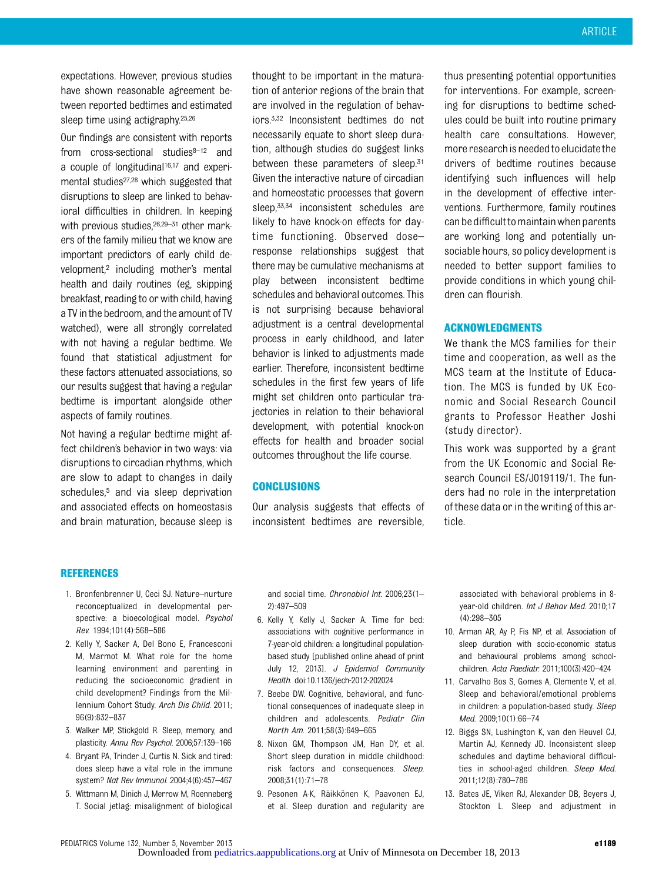expectations. However, previous studies have shown reasonable agreement between reported bedtimes and estimated sleep time using actigraphy.25,26

Our findings are consistent with reports from  $cross-sectional$  studies $8-12$  and a couple of longitudinal<sup>16,17</sup> and experimental studies<sup>27,28</sup> which suggested that disruptions to sleep are linked to behavioral difficulties in children. In keeping with previous studies, <sup>26, 29–31</sup> other markers of the family milieu that we know are important predictors of early child development,<sup>2</sup> including mother's mental health and daily routines (eg, skipping breakfast, reading to or with child, having a TV in the bedroom, and the amount of TV watched), were all strongly correlated with not having a regular bedtime. We found that statistical adjustment for these factors attenuated associations, so our results suggest that having a regular bedtime is important alongside other aspects of family routines.

Not having a regular bedtime might affect children's behavior in two ways: via disruptions to circadian rhythms, which are slow to adapt to changes in daily schedules,<sup>5</sup> and via sleep deprivation and associated effects on homeostasis and brain maturation, because sleep is

thought to be important in the maturation of anterior regions of the brain that are involved in the regulation of behaviors.3,32 Inconsistent bedtimes do not necessarily equate to short sleep duration, although studies do suggest links between these parameters of sleep.<sup>31</sup> Given the interactive nature of circadian and homeostatic processes that govern sleep, 33,34 inconsistent schedules are likely to have knock-on effects for daytime functioning. Observed dose– response relationships suggest that there may be cumulative mechanisms at play between inconsistent bedtime schedules and behavioral outcomes. This is not surprising because behavioral adjustment is a central developmental process in early childhood, and later behavior is linked to adjustments made earlier. Therefore, inconsistent bedtime schedules in the first few years of life might set children onto particular trajectories in relation to their behavioral development, with potential knock-on effects for health and broader social outcomes throughout the life course.

### **CONCLUSIONS**

Our analysis suggests that effects of inconsistent bedtimes are reversible, thus presenting potential opportunities for interventions. For example, screening for disruptions to bedtime schedules could be built into routine primary health care consultations. However, more research is needed to elucidate the drivers of bedtime routines because identifying such influences will help in the development of effective interventions. Furthermore, family routines can be difficult to maintain when parents are working long and potentially unsociable hours, so policy development is needed to better support families to provide conditions in which young children can flourish.

### ACKNOWLEDGMENTS

We thank the MCS families for their time and cooperation, as well as the MCS team at the Institute of Education. The MCS is funded by UK Economic and Social Research Council grants to Professor Heather Joshi (study director).

This work was supported by a grant from the UK Economic and Social Research Council ES/J019119/1. The funders had no role in the interpretation of these data or in the writing of this article.

#### REFERENCES

- 1. Bronfenbrenner U, Ceci SJ. Nature–nurture reconceptualized in developmental perspective: a bioecological model. Psychol Rev. 1994;101(4):568–586
- 2. Kelly Y, Sacker A, Del Bono E, Francesconi M, Marmot M. What role for the home learning environment and parenting in reducing the socioeconomic gradient in child development? Findings from the Millennium Cohort Study. Arch Dis Child. 2011; 96(9):832–837
- 3. Walker MP, Stickgold R. Sleep, memory, and plasticity. Annu Rev Psychol. 2006;57:139–166
- 4. Bryant PA, Trinder J, Curtis N. Sick and tired: does sleep have a vital role in the immune system? Nat Rev Immunol. 2004;4(6):457–467
- 5. Wittmann M, Dinich J, Merrow M, Roenneberg T. Social jetlag: misalignment of biological

and social time. Chronobiol Int. 2006;23(1– 2):497–509

- 6. Kelly Y, Kelly J, Sacker A. Time for bed: associations with cognitive performance in 7-year-old children: a longitudinal populationbased study [published online ahead of print July 12, 2013]. J Epidemiol Community Health. doi:10.1136/jech-2012-202024
- 7. Beebe DW. Cognitive, behavioral, and functional consequences of inadequate sleep in children and adolescents. Pediatr Clin North Am. 2011;58(3):649–665
- 8. Nixon GM, Thompson JM, Han DY, et al. Short sleep duration in middle childhood: risk factors and consequences. Sleep. 2008;31(1):71–78
- 9. Pesonen A-K, Räikkönen K, Paavonen EJ, et al. [Sleep duration and regularity ar](http://pediatrics.aappublications.org/)e

associated with behavioral problems in 8 year-old children. Int J Behav Med. 2010;17 (4):298–305

- 10. Arman AR, Ay P, Fis NP, et al. Association of sleep duration with socio-economic status and behavioural problems among schoolchildren. Acta Paediatr. 2011;100(3):420–424
- 11. Carvalho Bos S, Gomes A, Clemente V, et al. Sleep and behavioral/emotional problems in children: a population-based study. Sleep Med. 2009;10(1):66–74
- 12. Biggs SN, Lushington K, van den Heuvel CJ, Martin AJ, Kennedy JD. Inconsistent sleep schedules and daytime behavioral difficulties in school-aged children. Sleep Med. 2011;12(8):780–786
- 13. Bates JE, Viken RJ, Alexander DB, Beyers J, Stockton L. Sleep and adjustment in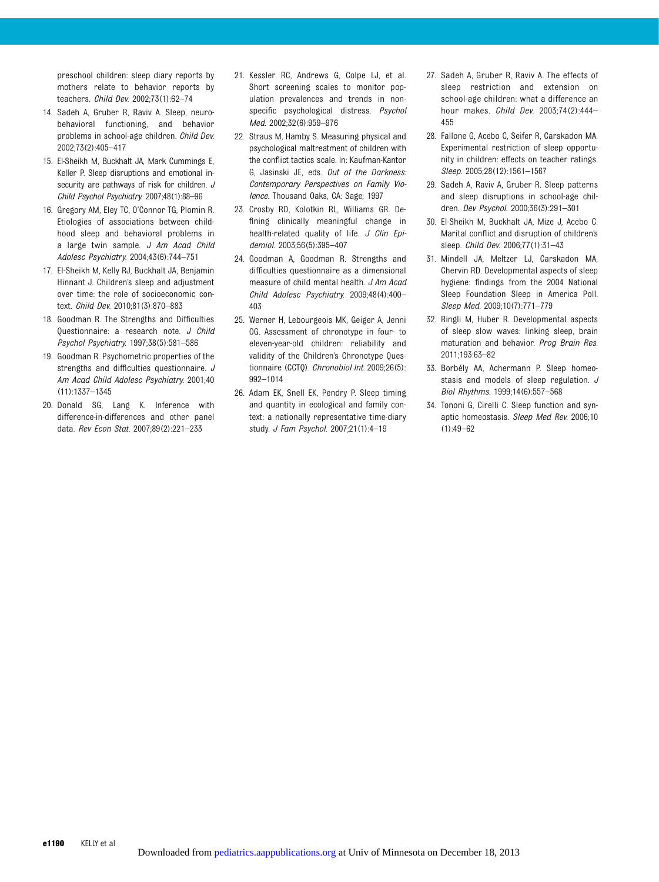preschool children: sleep diary reports by mothers relate to behavior reports by teachers. Child Dev. 2002;73(1):62–74

- 14. Sadeh A, Gruber R, Raviv A. Sleep, neurobehavioral functioning, and behavior problems in school-age children. Child Dev. 2002;73(2):405–417
- 15. El-Sheikh M, Buckhalt JA, Mark Cummings E, Keller P. Sleep disruptions and emotional insecurity are pathways of risk for children. J Child Psychol Psychiatry. 2007;48(1):88–96
- 16. Gregory AM, Eley TC, O'Connor TG, Plomin R. Etiologies of associations between childhood sleep and behavioral problems in a large twin sample. J Am Acad Child Adolesc Psychiatry. 2004;43(6):744–751
- 17. El-Sheikh M, Kelly RJ, Buckhalt JA, Benjamin Hinnant J. Children's sleep and adjustment over time: the role of socioeconomic context. Child Dev. 2010;81(3):870–883
- 18. Goodman R. The Strengths and Difficulties Questionnaire: a research note. J Child Psychol Psychiatry. 1997;38(5):581–586
- 19. Goodman R. Psychometric properties of the strengths and difficulties questionnaire. J Am Acad Child Adolesc Psychiatry. 2001;40 (11):1337–1345
- 20. Donald SG, Lang K. Inference with difference-in-differences and other panel data. Rev Econ Stat. 2007;89(2):221–233
- 21. Kessler RC, Andrews G, Colpe LJ, et al. Short screening scales to monitor population prevalences and trends in nonspecific psychological distress. Psychol Med. 2002;32(6):959–976
- 22. Straus M, Hamby S. Measuring physical and psychological maltreatment of children with the conflict tactics scale. In: Kaufman-Kantor G, Jasinski JE, eds. Out of the Darkness: Contemporary Perspectives on Family Violence. Thousand Oaks, CA: Sage; 1997
- 23. Crosby RD, Kolotkin RL, Williams GR. Defining clinically meaningful change in health-related quality of life. J Clin Epidemiol. 2003;56(5):395–407
- 24. Goodman A, Goodman R. Strengths and difficulties questionnaire as a dimensional measure of child mental health. J Am Acad Child Adolesc Psychiatry. 2009;48(4):400– 403
- 25. Werner H, Lebourgeois MK, Geiger A, Jenni OG. Assessment of chronotype in four- to eleven-year-old children: reliability and validity of the Children's Chronotype Questionnaire (CCTQ). Chronobiol Int. 2009;26(5): 992–1014
- 26. Adam EK, Snell EK, Pendry P. Sleep timing and quantity in ecological and family context: a nationally representative time-diary study. J Fam Psychol. 2007;21(1):4–19
- 27. Sadeh A, Gruber R, Raviv A. The effects of sleep restriction and extension on school-age children: what a difference an hour makes. Child Dev. 2003;74(2):444– 455
- 28. Fallone G, Acebo C, Seifer R, Carskadon MA. Experimental restriction of sleep opportunity in children: effects on teacher ratings. Sleep. 2005;28(12):1561–1567
- 29. Sadeh A, Raviv A, Gruber R. Sleep patterns and sleep disruptions in school-age children. Dev Psychol. 2000;36(3):291–301
- 30. El-Sheikh M, Buckhalt JA, Mize J, Acebo C. Marital conflict and disruption of children's sleep. Child Dev. 2006;77(1):31–43
- 31. Mindell JA, Meltzer LJ, Carskadon MA, Chervin RD. Developmental aspects of sleep hygiene: findings from the 2004 National Sleep Foundation Sleep in America Poll. Sleep Med. 2009;10(7):771–779
- 32. Ringli M, Huber R. Developmental aspects of sleep slow waves: linking sleep, brain maturation and behavior. Prog Brain Res. 2011;193:63–82
- 33. Borbély AA, Achermann P. Sleep homeostasis and models of sleep regulation. J Biol Rhythms. 1999;14(6):557–568
- 34. Tononi G, Cirelli C. Sleep function and synaptic homeostasis. Sleep Med Rev. 2006;10 (1):49–62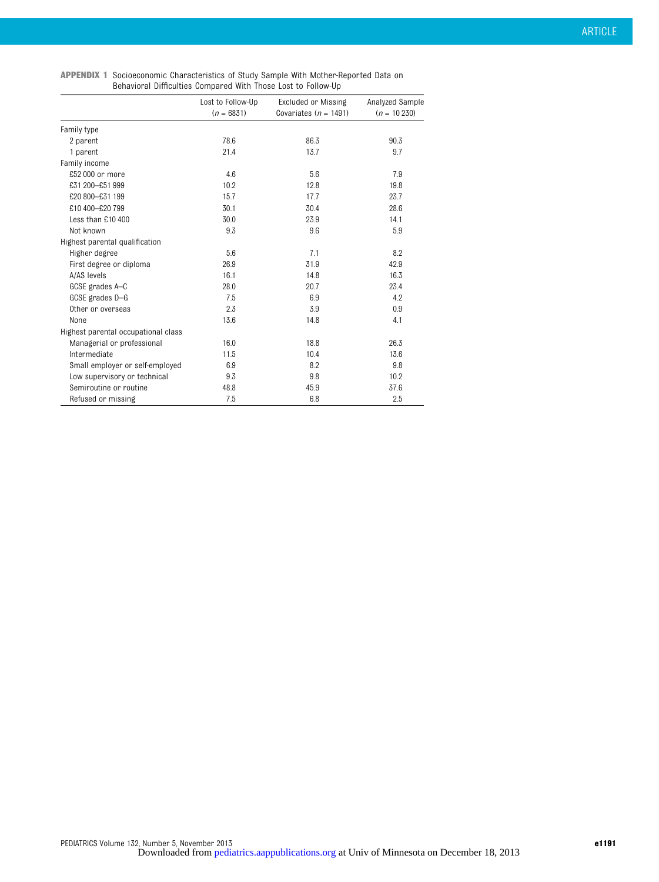| <b>APPENDIX 1</b> Socioeconomic Characteristics of Study Sample With Mother-Reported Data on |
|----------------------------------------------------------------------------------------------|
| Behavioral Difficulties Compared With Those Lost to Follow-Up                                |

|                                     | Lost to Follow-Up<br>$(n = 6831)$ | Excluded or Missing<br>Covariates ( $n = 1491$ ) | Analyzed Sample<br>$(n = 10230)$ |
|-------------------------------------|-----------------------------------|--------------------------------------------------|----------------------------------|
| Family type                         |                                   |                                                  |                                  |
| 2 parent                            | 78.6                              | 86.3                                             | 90.3                             |
| 1 parent                            | 21.4                              | 13.7                                             | 9.7                              |
| Family income                       |                                   |                                                  |                                  |
| £52,000 or more                     | 4.6                               | 5.6                                              | 7.9                              |
| £31 200-£51 999                     | 10.2                              | 12.8                                             | 19.8                             |
| £20 800-£31 199                     | 15.7                              | 17.7                                             | 23.7                             |
| £10 400-£20 799                     | 30.1                              | 30.4                                             | 28.6                             |
| Less than £10 400                   | 30.0                              | 23.9                                             | 14.1                             |
| Not known                           | 9.3                               | 9.6                                              | 5.9                              |
| Highest parental qualification      |                                   |                                                  |                                  |
| Higher degree                       | 5.6                               | 7.1                                              | 8.2                              |
| First degree or diploma             | 26.9                              | 31.9                                             | 42.9                             |
| A/AS levels                         | 16.1                              | 14.8                                             | 16.3                             |
| GCSE grades A-C                     | 28.0                              | 20.7                                             | 23.4                             |
| GCSE grades D-G                     | 7.5                               | 6.9                                              | 4.2                              |
| Other or overseas                   | 2.3                               | 3.9                                              | 0.9                              |
| None                                | 13.6                              | 14.8                                             | 4.1                              |
| Highest parental occupational class |                                   |                                                  |                                  |
| Managerial or professional          | 16.0                              | 18.8                                             | 26.3                             |
| Intermediate                        | 11.5                              | 10.4                                             | 13.6                             |
| Small employer or self-employed     | 6.9                               | 8.2                                              | 9.8                              |
| Low supervisory or technical        | 9.3                               | 9.8                                              | 10.2                             |
| Semiroutine or routine              | 48.8                              | 45.9                                             | 37.6                             |
| Refused or missing                  | 7.5                               | 6.8                                              | 2.5                              |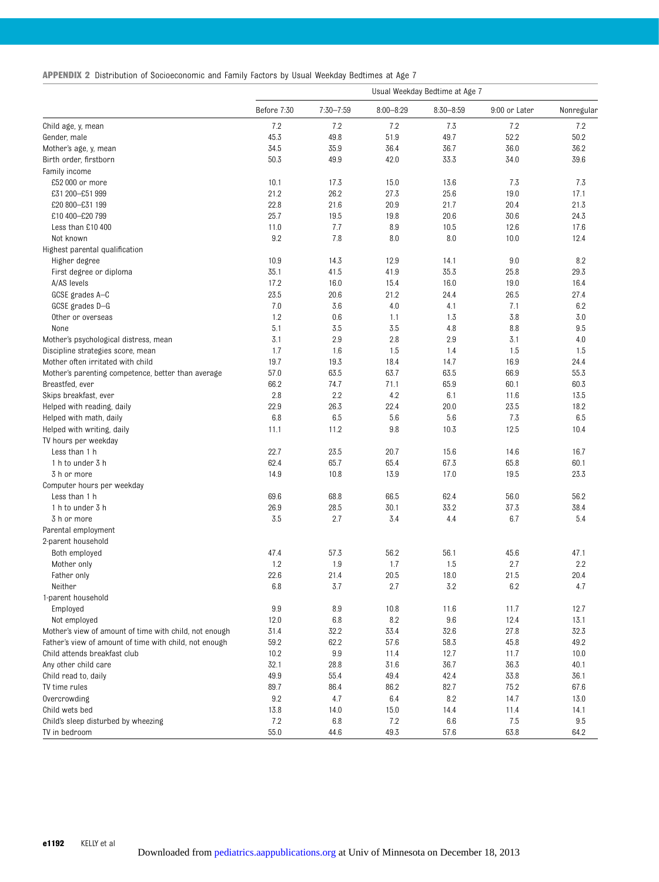| <b>APPENDIX 2</b> Distribution of Socioeconomic and Family Factors by Usual Weekday Bedtimes at Age 7 |  |  |  |  |  |  |  |  |  |  |
|-------------------------------------------------------------------------------------------------------|--|--|--|--|--|--|--|--|--|--|
|-------------------------------------------------------------------------------------------------------|--|--|--|--|--|--|--|--|--|--|

|                                                        |             |               |               | Usual Weekday Bedtime at Age 7 |               |            |
|--------------------------------------------------------|-------------|---------------|---------------|--------------------------------|---------------|------------|
|                                                        | Before 7:30 | $7:30 - 7:59$ | $8:00 - 8:29$ | $8:30 - 8:59$                  | 9:00 or Later | Nonregular |
| Child age, y, mean                                     | 7.2         | 7.2           | 7.2           | 7.3                            | 7.2           | 7.2        |
| Gender, male                                           | 45.3        | 49.8          | 51.9          | 49.7                           | 52.2          | 50.2       |
| Mother's age, y, mean                                  | 34.5        | 35.9          | 36.4          | 36.7                           | 36.0          | 36.2       |
| Birth order, firstborn                                 | 50.3        | 49.9          | 42.0          | 33.3                           | 34.0          | 39.6       |
| Family income                                          |             |               |               |                                |               |            |
| £52 000 or more                                        | 10.1        | 17.3          | 15.0          | 13.6                           | 7.3           | 7.3        |
| £31 200-£51 999                                        | 21.2        | 26.2          | 27.3          | 25.6                           | 19.0          | 17.1       |
| £20 800-£31 199                                        | 22.8        | 21.6          | 20.9          | 21.7                           | 20.4          | 21.3       |
| £10 400-£20 799                                        | 25.7        | 19.5          | 19.8          | 20.6                           | 30.6          | 24.3       |
| Less than £10 400                                      | 11.0        | 7.7           | 8.9           | 10.5                           | 12.6          | 17.6       |
| Not known                                              | 9.2         | 7.8           | 8.0           | 8.0                            | 10.0          | 12.4       |
| Highest parental qualification                         |             |               |               |                                |               |            |
|                                                        | 10.9        | 14.3          | 12.9          |                                | 9.0           | 8.2        |
| Higher degree                                          | 35.1        | 41.5          | 41.9          | 14.1<br>35.3                   | 25.8          | 29.3       |
| First degree or diploma                                |             |               |               |                                |               |            |
| A/AS levels                                            | 17.2        | 16.0          | 15.4          | 16.0                           | 19.0          | 16.4       |
| GCSE grades A-C                                        | 23.5        | 20.6          | 21.2          | 24.4                           | 26.5          | 27.4       |
| GCSE grades D-G                                        | 7.0         | 3.6           | 4.0           | 4.1                            | 7.1           | 6.2        |
| Other or overseas                                      | 1.2         | 0.6           | 1.1           | 1.3                            | 3.8           | 3.0        |
| None                                                   | 5.1         | 3.5           | 3.5           | 4.8                            | 8.8           | 9.5        |
| Mother's psychological distress, mean                  | 3.1         | 2.9           | 2.8           | 2.9                            | 3.1           | 4.0        |
| Discipline strategies score, mean                      | 1.7         | 1.6           | 1.5           | 1.4                            | 1.5           | 1.5        |
| Mother often irritated with child                      | 19.7        | 19.3          | 18.4          | 14.7                           | 16.9          | 24.4       |
| Mother's parenting competence, better than average     | 57.0        | 63.5          | 63.7          | 63.5                           | 66.9          | 55.3       |
| Breastfed, ever                                        | 66.2        | 74.7          | 71.1          | 65.9                           | 60.1          | 60.3       |
| Skips breakfast, ever                                  | 2.8         | 2.2           | 4.2           | 6.1                            | 11.6          | 13.5       |
| Helped with reading, daily                             | 22.9        | 26.3          | 22.4          | 20.0                           | 23.5          | 18.2       |
| Helped with math, daily                                | 6.8         | 6.5           | 5.6           | 5.6                            | 7.3           | 6.5        |
| Helped with writing, daily                             | 11.1        | 11.2          | 9.8           | 10.3                           | 12.5          | 10.4       |
| TV hours per weekday                                   |             |               |               |                                |               |            |
| Less than 1 h                                          | 22.7        | 23.5          | 20.7          | 15.6                           | 14.6          | 16.7       |
| 1 h to under 3 h                                       | 62.4        | 65.7          | 65.4          | 67.3                           | 65.8          | 60.1       |
| 3 h or more                                            | 14.9        | 10.8          | 13.9          | 17.0                           | 19.5          | 23.3       |
| Computer hours per weekday                             |             |               |               |                                |               |            |
|                                                        |             |               |               |                                |               |            |
| Less than 1 h                                          | 69.6        | 68.8          | 66.5          | 62.4                           | 56.0          | 56.2       |
| 1 h to under 3 h                                       | 26.9        | 28.5          | 30.1          | 33.2                           | 37.3          | 38.4       |
| 3 h or more                                            | 3.5         | 2.7           | 3.4           | 4.4                            | 6.7           | 5.4        |
| Parental employment                                    |             |               |               |                                |               |            |
| 2-parent household                                     |             |               |               |                                |               |            |
| Both employed                                          | 47.4        | 57.3          | 56.2          | 56.1                           | 45.6          | 47.1       |
| Mother only                                            | 1.2         | 1.9           | 1.7           | 1.5                            | 2.7           | 2.2        |
| Father only                                            | 22.6        | 21.4          | 20.5          | 18.0                           | 21.5          | 20.4       |
| Neither                                                | 6.8         | 3.7           | 2.7           | 3.2                            | 6.2           | 4.7        |
| 1-parent household                                     |             |               |               |                                |               |            |
| Employed                                               | 9.9         | 8.9           | 10.8          | 11.6                           | 11.7          | 12.7       |
| Not employed                                           | 12.0        | 6.8           | 8.2           | 9.6                            | 12.4          | 13.1       |
| Mother's view of amount of time with child, not enough | 31.4        | 32.2          | 33.4          | 32.6                           | 27.8          | 32.3       |
| Father's view of amount of time with child, not enough | 59.2        | 62.2          | 57.6          | 58.3                           | 45.8          | 49.2       |
| Child attends breakfast club                           | 10.2        | 9.9           | 11.4          | 12.7                           | 11.7          | 10.0       |
| Any other child care                                   | 32.1        | 28.8          | 31.6          | 36.7                           | 36.3          | 40.1       |
| Child read to, daily                                   | 49.9        | 55.4          | 49.4          | 42.4                           | 33.8          | 36.1       |
| TV time rules                                          | 89.7        | 86.4          | 86.2          | 82.7                           | 75.2          | 67.6       |
| Overcrowding                                           | 9.2         | 4.7           | 6.4           | 8.2                            | 14.7          | 13.0       |
| Child wets bed                                         | 13.8        | 14.0          | 15.0          | 14.4                           | 11.4          | 14.1       |
| Child's sleep disturbed by wheezing                    | 7.2         | 6.8           | 7.2           | 6.6                            | 7.5           | 9.5        |
| TV in bedroom                                          | 55.0        | 44.6          | 49.3          | 57.6                           | 63.8          | 64.2       |
|                                                        |             |               |               |                                |               |            |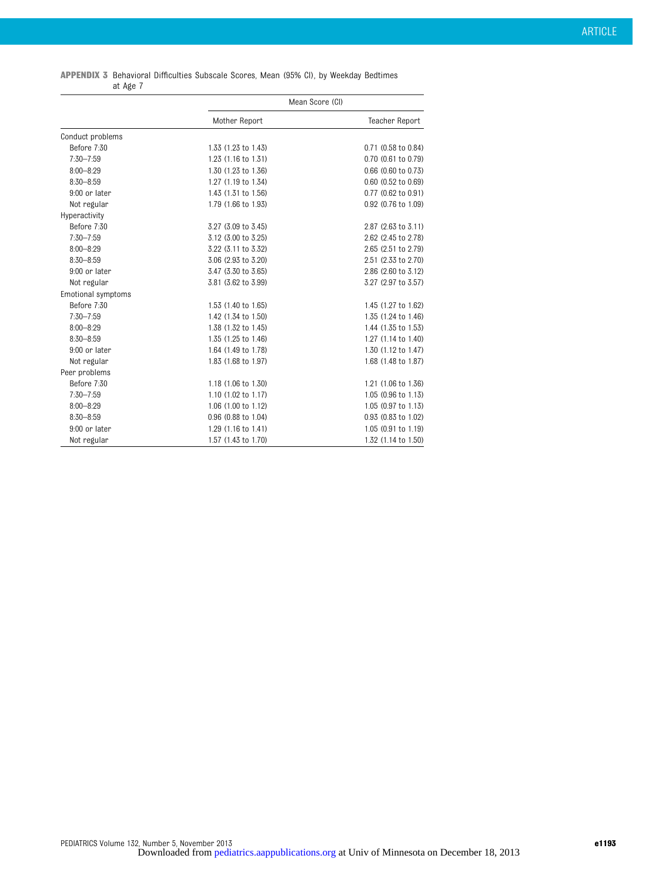| <b>APPENDIX 3</b> Behavioral Difficulties Subscale Scores, Mean (95% CI), by Weekday Bedtimes |          |  |  |  |  |  |
|-----------------------------------------------------------------------------------------------|----------|--|--|--|--|--|
|                                                                                               | at Age 7 |  |  |  |  |  |

|                           | Mean Score (CI)     |                     |  |  |
|---------------------------|---------------------|---------------------|--|--|
|                           | Mother Report       | Teacher Report      |  |  |
| Conduct problems          |                     |                     |  |  |
| Before 7:30               | 1.33 (1.23 to 1.43) | 0.71 (0.58 to 0.84) |  |  |
| $7:30 - 7:59$             | 1.23 (1.16 to 1.31) | 0.70 (0.61 to 0.79) |  |  |
| $8:00 - 8:29$             | 1.30 (1.23 to 1.36) | 0.66 (0.60 to 0.73) |  |  |
| $8:30 - 8:59$             | 1.27 (1.19 to 1.34) | 0.60 (0.52 to 0.69) |  |  |
| 9:00 or later             | 1.43 (1.31 to 1.56) | 0.77 (0.62 to 0.91) |  |  |
| Not regular               | 1.79 (1.66 to 1.93) | 0.92 (0.76 to 1.09) |  |  |
| Hyperactivity             |                     |                     |  |  |
| Before 7:30               | 3.27 (3.09 to 3.45) | 2.87 (2.63 to 3.11) |  |  |
| $7:30 - 7:59$             | 3.12 (3.00 to 3.25) | 2.62 (2.45 to 2.78) |  |  |
| $8:00 - 8:29$             | 3.22 (3.11 to 3.32) | 2.65 (2.51 to 2.79) |  |  |
| $8:30 - 8:59$             | 3.06 (2.93 to 3.20) | 2.51 (2.33 to 2.70) |  |  |
| 9:00 or later             | 3.47 (3.30 to 3.65) | 2.86 (2.60 to 3.12) |  |  |
| Not regular               | 3.81 (3.62 to 3.99) | 3.27 (2.97 to 3.57) |  |  |
| <b>Emotional symptoms</b> |                     |                     |  |  |
| Before 7:30               | 1.53 (1.40 to 1.65) | 1.45 (1.27 to 1.62) |  |  |
| 7:30-7:59                 | 1.42 (1.34 to 1.50) | 1.35 (1.24 to 1.46) |  |  |
| $8:00 - 8:29$             | 1.38 (1.32 to 1.45) | 1.44 (1.35 to 1.53) |  |  |
| $8:30 - 8:59$             | 1.35 (1.25 to 1.46) | 1.27 (1.14 to 1.40) |  |  |
| 9:00 or later             | 1.64 (1.49 to 1.78) | 1.30 (1.12 to 1.47) |  |  |
| Not regular               | 1.83 (1.68 to 1.97) | 1.68 (1.48 to 1.87) |  |  |
| Peer problems             |                     |                     |  |  |
| Before 7:30               | 1.18 (1.06 to 1.30) | 1.21 (1.06 to 1.36) |  |  |
| 7:30-7:59                 | 1.10 (1.02 to 1.17) | 1.05 (0.96 to 1.13) |  |  |
| $8:00 - 8:29$             | 1.06 (1.00 to 1.12) | 1.05 (0.97 to 1.13) |  |  |
| $8:30 - 8:59$             | 0.96 (0.88 to 1.04) | 0.93 (0.83 to 1.02) |  |  |
| 9:00 or later             | 1.29 (1.16 to 1.41) | 1.05 (0.91 to 1.19) |  |  |
| Not regular               | 1.57 (1.43 to 1.70) | 1.32 (1.14 to 1.50) |  |  |